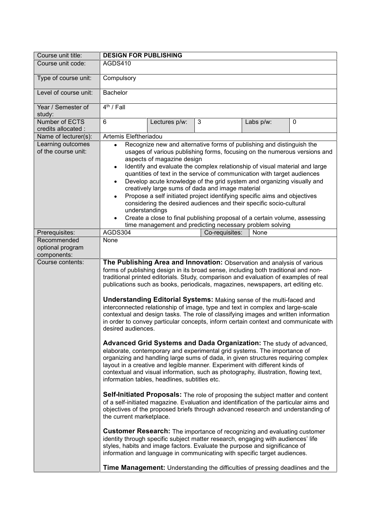| Course unit title:                             | <b>DESIGN FOR PUBLISHING</b>                                                                                                                                                                                                                                                                                                                                                                                                                                                                                                                                                                                                                                                                                                                                                                                                                                                                                                                                                                                                                                                                                                                                                         |               |                |           |             |  |  |
|------------------------------------------------|--------------------------------------------------------------------------------------------------------------------------------------------------------------------------------------------------------------------------------------------------------------------------------------------------------------------------------------------------------------------------------------------------------------------------------------------------------------------------------------------------------------------------------------------------------------------------------------------------------------------------------------------------------------------------------------------------------------------------------------------------------------------------------------------------------------------------------------------------------------------------------------------------------------------------------------------------------------------------------------------------------------------------------------------------------------------------------------------------------------------------------------------------------------------------------------|---------------|----------------|-----------|-------------|--|--|
| Course unit code:                              | AGDS410                                                                                                                                                                                                                                                                                                                                                                                                                                                                                                                                                                                                                                                                                                                                                                                                                                                                                                                                                                                                                                                                                                                                                                              |               |                |           |             |  |  |
| Type of course unit:                           | Compulsory                                                                                                                                                                                                                                                                                                                                                                                                                                                                                                                                                                                                                                                                                                                                                                                                                                                                                                                                                                                                                                                                                                                                                                           |               |                |           |             |  |  |
| Level of course unit:                          | <b>Bachelor</b>                                                                                                                                                                                                                                                                                                                                                                                                                                                                                                                                                                                                                                                                                                                                                                                                                                                                                                                                                                                                                                                                                                                                                                      |               |                |           |             |  |  |
| Year / Semester of<br>study:                   | $4th$ / Fall                                                                                                                                                                                                                                                                                                                                                                                                                                                                                                                                                                                                                                                                                                                                                                                                                                                                                                                                                                                                                                                                                                                                                                         |               |                |           |             |  |  |
| Number of ECTS<br>credits allocated :          | 6                                                                                                                                                                                                                                                                                                                                                                                                                                                                                                                                                                                                                                                                                                                                                                                                                                                                                                                                                                                                                                                                                                                                                                                    | Lectures p/w: | $\mathbf{3}$   | Labs p/w: | $\mathbf 0$ |  |  |
| Name of lecturer(s):                           | Artemis Eleftheriadou                                                                                                                                                                                                                                                                                                                                                                                                                                                                                                                                                                                                                                                                                                                                                                                                                                                                                                                                                                                                                                                                                                                                                                |               |                |           |             |  |  |
| Learning outcomes<br>of the course unit:       | Recognize new and alternative forms of publishing and distinguish the<br>$\bullet$<br>usages of various publishing forms, focusing on the numerous versions and<br>aspects of magazine design<br>Identify and evaluate the complex relationship of visual material and large<br>$\bullet$<br>quantities of text in the service of communication with target audiences<br>Develop acute knowledge of the grid system and organizing visually and<br>$\bullet$<br>creatively large sums of dada and image material<br>Propose a self initiated project identifying specific aims and objectives<br>$\bullet$<br>considering the desired audiences and their specific socio-cultural<br>understandings<br>Create a close to final publishing proposal of a certain volume, assessing<br>time management and predicting necessary problem solving                                                                                                                                                                                                                                                                                                                                        |               |                |           |             |  |  |
| Prerequisites:                                 | AGDS304                                                                                                                                                                                                                                                                                                                                                                                                                                                                                                                                                                                                                                                                                                                                                                                                                                                                                                                                                                                                                                                                                                                                                                              |               | Co-requisites: | None      |             |  |  |
| Recommended<br>optional program<br>components: | None                                                                                                                                                                                                                                                                                                                                                                                                                                                                                                                                                                                                                                                                                                                                                                                                                                                                                                                                                                                                                                                                                                                                                                                 |               |                |           |             |  |  |
| Course contents:                               | forms of publishing design in its broad sense, including both traditional and non-<br>traditional printed editorials. Study, comparison and evaluation of examples of real<br>publications such as books, periodicals, magazines, newspapers, art editing etc.<br><b>Understanding Editorial Systems: Making sense of the multi-faced and</b><br>interconnected relationship of image, type and text in complex and large-scale<br>contextual and design tasks. The role of classifying images and written information<br>in order to convey particular concepts, inform certain context and communicate with<br>desired audiences.<br>Advanced Grid Systems and Dada Organization: The study of advanced,<br>elaborate, contemporary and experimental grid systems. The importance of<br>organizing and handling large sums of dada, in given structures requiring complex<br>layout in a creative and legible manner. Experiment with different kinds of<br>contextual and visual information, such as photography, illustration, flowing text,<br>information tables, headlines, subtitles etc.<br>Self-Initiated Proposals: The role of proposing the subject matter and content |               |                |           |             |  |  |
|                                                | of a self-initiated magazine. Evaluation and identification of the particular aims and<br>objectives of the proposed briefs through advanced research and understanding of<br>the current marketplace.                                                                                                                                                                                                                                                                                                                                                                                                                                                                                                                                                                                                                                                                                                                                                                                                                                                                                                                                                                               |               |                |           |             |  |  |
|                                                | Customer Research: The importance of recognizing and evaluating customer<br>identity through specific subject matter research, engaging with audiences' life<br>styles, habits and image factors. Evaluate the purpose and significance of<br>information and language in communicating with specific target audiences.                                                                                                                                                                                                                                                                                                                                                                                                                                                                                                                                                                                                                                                                                                                                                                                                                                                              |               |                |           |             |  |  |
|                                                | <b>Time Management:</b> Understanding the difficulties of pressing deadlines and the                                                                                                                                                                                                                                                                                                                                                                                                                                                                                                                                                                                                                                                                                                                                                                                                                                                                                                                                                                                                                                                                                                 |               |                |           |             |  |  |